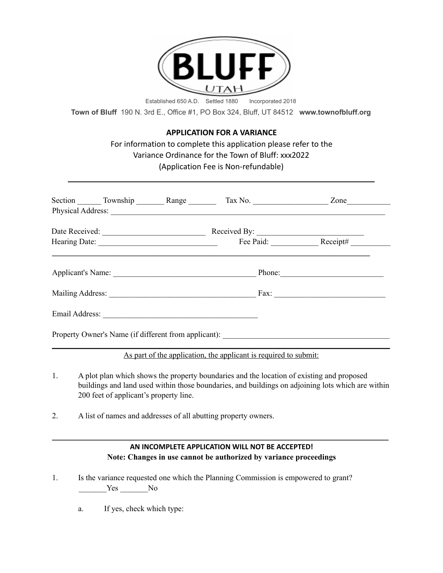

**Town of Bluff** 190 N. 3rd E., Office #1, PO Box 324, Bluff, UT 84512 **www.townofbluff.org**

## **APPLICATION FOR A VARIANCE**

For information to complete this application please refer to the Variance Ordinance for the Town of Bluff: xxx2022 (Application Fee is Non-refundable)

\_\_\_\_\_\_\_\_\_\_\_\_\_\_\_\_\_\_\_\_\_\_\_\_\_\_\_\_\_\_\_\_\_\_\_\_\_\_\_\_\_\_\_\_\_\_\_\_\_\_\_\_\_\_\_\_\_\_\_\_\_\_\_\_\_\_\_\_\_\_\_

|                                                      | Section ________ Township __________ Range ___________ Tax No. _______________________ Zone_______________ |                                                                        |
|------------------------------------------------------|------------------------------------------------------------------------------------------------------------|------------------------------------------------------------------------|
|                                                      |                                                                                                            | Received By: Fee Paid: Receipt#                                        |
|                                                      |                                                                                                            |                                                                        |
| Applicant's Name:                                    |                                                                                                            |                                                                        |
|                                                      |                                                                                                            | $\text{Fax:}\n\qquad \qquad \qquad \qquad \qquad \qquad \qquad \qquad$ |
|                                                      |                                                                                                            |                                                                        |
| Property Owner's Name (if different from applicant): |                                                                                                            |                                                                        |

\_\_\_\_\_\_\_\_\_\_\_\_\_\_\_\_\_\_\_\_\_\_\_\_\_\_\_\_\_\_\_\_\_\_\_\_\_\_\_\_\_\_\_\_\_\_\_\_\_\_\_\_\_\_\_\_\_\_\_\_\_\_\_\_\_\_\_\_\_\_\_\_\_\_\_\_\_\_\_\_\_\_\_\_\_ As part of the application, the applicant is required to submit:

- 1. A plot plan which shows the property boundaries and the location of existing and proposed buildings and land used within those boundaries, and buildings on adjoining lots which are within 200 feet of applicant's property line.
- 2. A list of names and addresses of all abutting property owners.

## **AN INCOMPLETE APPLICATION WILL NOT BE ACCEPTED! Note: Changes in use cannot be authorized by variance proceedings**

\_\_\_\_\_\_\_\_\_\_\_\_\_\_\_\_\_\_\_\_\_\_\_\_\_\_\_\_\_\_\_\_\_\_\_\_\_\_\_\_\_\_\_\_\_\_\_\_\_\_\_\_\_\_\_\_\_\_\_\_\_\_\_\_\_\_\_\_\_\_\_\_\_\_\_\_\_\_\_\_\_\_\_\_\_

- 1. Is the variance requested one which the Planning Commission is empowered to grant? Yes No
	- a. If yes, check which type: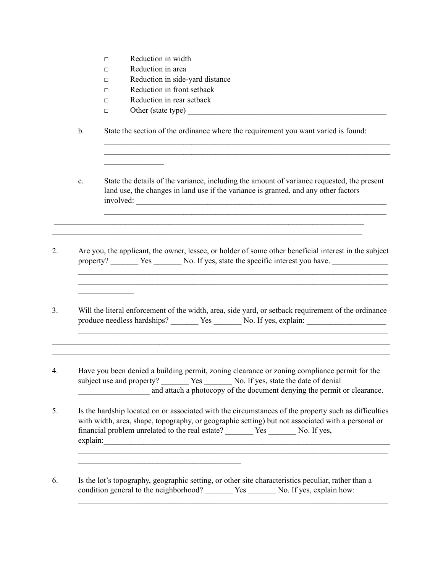- □ Reduction in width
- □ Reduction in area
- □ Reduction in side-yard distance
- □ Reduction in front setback
- □ Reduction in rear setback
- $\Box$  Other (state type)

 $\frac{1}{2}$ 

 $\frac{1}{2}$  ,  $\frac{1}{2}$  ,  $\frac{1}{2}$  ,  $\frac{1}{2}$  ,  $\frac{1}{2}$  ,  $\frac{1}{2}$  ,  $\frac{1}{2}$ 

b. State the section of the ordinance where the requirement you want varied is found:

c. State the details of the variance, including the amount of variance requested, the present land use, the changes in land use if the variance is granted, and any other factors involved: \_\_\_\_\_\_\_\_\_\_\_\_\_\_\_\_\_\_\_\_\_\_\_\_\_\_\_\_\_\_\_\_\_\_\_\_\_\_\_\_\_\_\_\_\_\_\_\_\_\_\_\_\_\_\_\_\_\_\_\_\_\_\_

 $\mathcal{L}_\text{max} = \mathcal{L}_\text{max} = \mathcal{L}_\text{max} = \mathcal{L}_\text{max} = \mathcal{L}_\text{max} = \mathcal{L}_\text{max} = \mathcal{L}_\text{max} = \mathcal{L}_\text{max} = \mathcal{L}_\text{max} = \mathcal{L}_\text{max} = \mathcal{L}_\text{max} = \mathcal{L}_\text{max} = \mathcal{L}_\text{max} = \mathcal{L}_\text{max} = \mathcal{L}_\text{max} = \mathcal{L}_\text{max} = \mathcal{L}_\text{max} = \mathcal{L}_\text{max} = \mathcal{$  $\mathcal{L}_\text{max} = \mathcal{L}_\text{max} = \mathcal{L}_\text{max} = \mathcal{L}_\text{max} = \mathcal{L}_\text{max} = \mathcal{L}_\text{max} = \mathcal{L}_\text{max} = \mathcal{L}_\text{max} = \mathcal{L}_\text{max} = \mathcal{L}_\text{max} = \mathcal{L}_\text{max} = \mathcal{L}_\text{max} = \mathcal{L}_\text{max} = \mathcal{L}_\text{max} = \mathcal{L}_\text{max} = \mathcal{L}_\text{max} = \mathcal{L}_\text{max} = \mathcal{L}_\text{max} = \mathcal{$ 

 $\mathcal{L}_\text{max} = \mathcal{L}_\text{max} = \mathcal{L}_\text{max} = \mathcal{L}_\text{max} = \mathcal{L}_\text{max} = \mathcal{L}_\text{max} = \mathcal{L}_\text{max} = \mathcal{L}_\text{max} = \mathcal{L}_\text{max} = \mathcal{L}_\text{max} = \mathcal{L}_\text{max} = \mathcal{L}_\text{max} = \mathcal{L}_\text{max} = \mathcal{L}_\text{max} = \mathcal{L}_\text{max} = \mathcal{L}_\text{max} = \mathcal{L}_\text{max} = \mathcal{L}_\text{max} = \mathcal{$ 

2. Are you, the applicant, the owner, lessee, or holder of some other beneficial interest in the subject property? Yes No. If yes, state the specific interest you have.

 $\mathcal{L}_\mathcal{L} = \mathcal{L}_\mathcal{L} = \mathcal{L}_\mathcal{L} = \mathcal{L}_\mathcal{L} = \mathcal{L}_\mathcal{L} = \mathcal{L}_\mathcal{L} = \mathcal{L}_\mathcal{L} = \mathcal{L}_\mathcal{L} = \mathcal{L}_\mathcal{L} = \mathcal{L}_\mathcal{L} = \mathcal{L}_\mathcal{L} = \mathcal{L}_\mathcal{L} = \mathcal{L}_\mathcal{L} = \mathcal{L}_\mathcal{L} = \mathcal{L}_\mathcal{L} = \mathcal{L}_\mathcal{L} = \mathcal{L}_\mathcal{L}$  $\mathcal{L}_\mathcal{L} = \mathcal{L}_\mathcal{L} = \mathcal{L}_\mathcal{L} = \mathcal{L}_\mathcal{L} = \mathcal{L}_\mathcal{L} = \mathcal{L}_\mathcal{L} = \mathcal{L}_\mathcal{L} = \mathcal{L}_\mathcal{L} = \mathcal{L}_\mathcal{L} = \mathcal{L}_\mathcal{L} = \mathcal{L}_\mathcal{L} = \mathcal{L}_\mathcal{L} = \mathcal{L}_\mathcal{L} = \mathcal{L}_\mathcal{L} = \mathcal{L}_\mathcal{L} = \mathcal{L}_\mathcal{L} = \mathcal{L}_\mathcal{L}$ 

 $\mathcal{L}_\text{max} = \mathcal{L}_\text{max} = \mathcal{L}_\text{max} = \mathcal{L}_\text{max} = \mathcal{L}_\text{max} = \mathcal{L}_\text{max} = \mathcal{L}_\text{max} = \mathcal{L}_\text{max} = \mathcal{L}_\text{max} = \mathcal{L}_\text{max} = \mathcal{L}_\text{max} = \mathcal{L}_\text{max} = \mathcal{L}_\text{max} = \mathcal{L}_\text{max} = \mathcal{L}_\text{max} = \mathcal{L}_\text{max} = \mathcal{L}_\text{max} = \mathcal{L}_\text{max} = \mathcal{$  $\mathcal{L}_\mathcal{L} = \mathcal{L}_\mathcal{L} = \mathcal{L}_\mathcal{L} = \mathcal{L}_\mathcal{L} = \mathcal{L}_\mathcal{L} = \mathcal{L}_\mathcal{L} = \mathcal{L}_\mathcal{L} = \mathcal{L}_\mathcal{L} = \mathcal{L}_\mathcal{L} = \mathcal{L}_\mathcal{L} = \mathcal{L}_\mathcal{L} = \mathcal{L}_\mathcal{L} = \mathcal{L}_\mathcal{L} = \mathcal{L}_\mathcal{L} = \mathcal{L}_\mathcal{L} = \mathcal{L}_\mathcal{L} = \mathcal{L}_\mathcal{L}$ 

3. Will the literal enforcement of the width, area, side yard, or setback requirement of the ordinance produce needless hardships? \_\_\_\_\_\_\_\_ Yes \_\_\_\_\_\_\_ No. If yes, explain:

 $\_$  $\_$ 

- 4. Have you been denied a building permit, zoning clearance or zoning compliance permit for the subject use and property? Yes No. If yes, state the date of denial \_\_\_\_\_\_\_\_\_\_\_\_\_\_\_\_\_\_ and attach a photocopy of the document denying the permit or clearance.
- 5. Is the hardship located on or associated with the circumstances of the property such as difficulties with width, area, shape, topography, or geographic setting) but not associated with a personal or financial problem unrelated to the real estate? Yes No. If yes, explain:
- 6. Is the lot's topography, geographic setting, or other site characteristics peculiar, rather than a condition general to the neighborhood? \_\_\_\_\_\_\_ Yes \_\_\_\_\_\_\_ No. If yes, explain how:

 $\mathcal{L}_\mathcal{L} = \{ \mathcal{L}_\mathcal{L} = \{ \mathcal{L}_\mathcal{L} = \{ \mathcal{L}_\mathcal{L} = \{ \mathcal{L}_\mathcal{L} = \{ \mathcal{L}_\mathcal{L} = \{ \mathcal{L}_\mathcal{L} = \{ \mathcal{L}_\mathcal{L} = \{ \mathcal{L}_\mathcal{L} = \{ \mathcal{L}_\mathcal{L} = \{ \mathcal{L}_\mathcal{L} = \{ \mathcal{L}_\mathcal{L} = \{ \mathcal{L}_\mathcal{L} = \{ \mathcal{L}_\mathcal{L} = \{ \mathcal{L}_\mathcal{$ 

 $\mathcal{L}_\text{max}$  , where  $\mathcal{L}_\text{max}$  is the set of the set of the set of the set of the set of the set of the set of the set of the set of the set of the set of the set of the set of the set of the set of the set of the se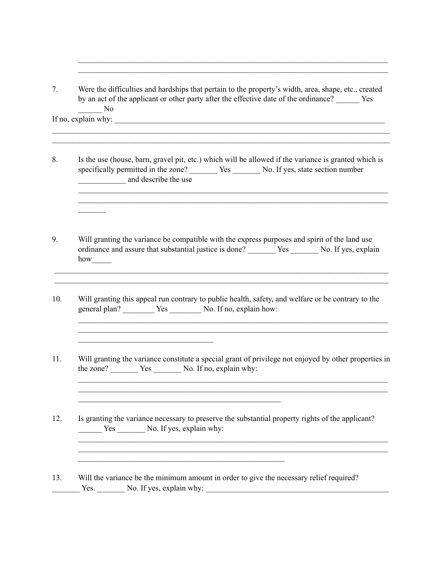7. Were the difficulties and hardships that pertain to the property's width, area, shape, etc., created by an act of the applicant or other party after the effective date of the ordinance? Yes \_\_\_\_\_\_ No If no, explain why:

 $\_$  $\_$ 

 $\mathcal{L}_\mathcal{L} = \mathcal{L}_\mathcal{L} = \mathcal{L}_\mathcal{L} = \mathcal{L}_\mathcal{L} = \mathcal{L}_\mathcal{L} = \mathcal{L}_\mathcal{L} = \mathcal{L}_\mathcal{L} = \mathcal{L}_\mathcal{L} = \mathcal{L}_\mathcal{L} = \mathcal{L}_\mathcal{L} = \mathcal{L}_\mathcal{L} = \mathcal{L}_\mathcal{L} = \mathcal{L}_\mathcal{L} = \mathcal{L}_\mathcal{L} = \mathcal{L}_\mathcal{L} = \mathcal{L}_\mathcal{L} = \mathcal{L}_\mathcal{L}$  $\mathcal{L}_\mathcal{L} = \mathcal{L}_\mathcal{L} = \mathcal{L}_\mathcal{L} = \mathcal{L}_\mathcal{L} = \mathcal{L}_\mathcal{L} = \mathcal{L}_\mathcal{L} = \mathcal{L}_\mathcal{L} = \mathcal{L}_\mathcal{L} = \mathcal{L}_\mathcal{L} = \mathcal{L}_\mathcal{L} = \mathcal{L}_\mathcal{L} = \mathcal{L}_\mathcal{L} = \mathcal{L}_\mathcal{L} = \mathcal{L}_\mathcal{L} = \mathcal{L}_\mathcal{L} = \mathcal{L}_\mathcal{L} = \mathcal{L}_\mathcal{L}$ 

 $\mathcal{L}=\mathcal{L}$ 

8. Is the use (house, barn, gravel pit, etc.) which will be allowed if the variance is granted which is specifically permitted in the zone? \_\_\_\_\_\_\_\_ Yes \_\_\_\_\_\_\_ No. If yes, state section number \_\_\_\_\_\_\_\_\_\_\_\_ and describe the use

 $\mathcal{L}_\mathcal{L} = \mathcal{L}_\mathcal{L} = \mathcal{L}_\mathcal{L} = \mathcal{L}_\mathcal{L} = \mathcal{L}_\mathcal{L} = \mathcal{L}_\mathcal{L} = \mathcal{L}_\mathcal{L} = \mathcal{L}_\mathcal{L} = \mathcal{L}_\mathcal{L} = \mathcal{L}_\mathcal{L} = \mathcal{L}_\mathcal{L} = \mathcal{L}_\mathcal{L} = \mathcal{L}_\mathcal{L} = \mathcal{L}_\mathcal{L} = \mathcal{L}_\mathcal{L} = \mathcal{L}_\mathcal{L} = \mathcal{L}_\mathcal{L}$  $\mathcal{L}_\mathcal{L} = \mathcal{L}_\mathcal{L} = \mathcal{L}_\mathcal{L} = \mathcal{L}_\mathcal{L} = \mathcal{L}_\mathcal{L} = \mathcal{L}_\mathcal{L} = \mathcal{L}_\mathcal{L} = \mathcal{L}_\mathcal{L} = \mathcal{L}_\mathcal{L} = \mathcal{L}_\mathcal{L} = \mathcal{L}_\mathcal{L} = \mathcal{L}_\mathcal{L} = \mathcal{L}_\mathcal{L} = \mathcal{L}_\mathcal{L} = \mathcal{L}_\mathcal{L} = \mathcal{L}_\mathcal{L} = \mathcal{L}_\mathcal{L}$ 

9. Will granting the variance be compatible with the express purposes and spirit of the land use ordinance and assure that substantial justice is done? \_\_\_\_\_\_\_ Yes \_\_\_\_\_\_\_ No. If yes, explain how\_\_\_\_\_

 $\_$  $\_$ 

10. Will granting this appeal run contrary to public health, safety, and welfare or be contrary to the general plan? \_\_\_\_\_\_\_\_ Yes \_\_\_\_\_\_\_ No. If no, explain how:

 $\mathcal{L}_\text{max}$  , where  $\mathcal{L}_\text{max}$  is the set of the set of the set of the set of the set of the set of the set of the set of the set of the set of the set of the set of the set of the set of the set of the set of the se

11. Will granting the variance constitute a special grant of privilege not enjoyed by other properties in the zone? \_\_\_\_\_\_\_\_ Yes \_\_\_\_\_\_\_\_ No. If no, explain why:

 $\mathcal{L}_\mathcal{L} = \mathcal{L}_\mathcal{L} = \mathcal{L}_\mathcal{L} = \mathcal{L}_\mathcal{L} = \mathcal{L}_\mathcal{L} = \mathcal{L}_\mathcal{L} = \mathcal{L}_\mathcal{L} = \mathcal{L}_\mathcal{L} = \mathcal{L}_\mathcal{L} = \mathcal{L}_\mathcal{L} = \mathcal{L}_\mathcal{L} = \mathcal{L}_\mathcal{L} = \mathcal{L}_\mathcal{L} = \mathcal{L}_\mathcal{L} = \mathcal{L}_\mathcal{L} = \mathcal{L}_\mathcal{L} = \mathcal{L}_\mathcal{L}$ 

 $\mathcal{L}_\mathcal{L} = \mathcal{L}_\mathcal{L} = \mathcal{L}_\mathcal{L} = \mathcal{L}_\mathcal{L} = \mathcal{L}_\mathcal{L} = \mathcal{L}_\mathcal{L} = \mathcal{L}_\mathcal{L} = \mathcal{L}_\mathcal{L} = \mathcal{L}_\mathcal{L} = \mathcal{L}_\mathcal{L} = \mathcal{L}_\mathcal{L} = \mathcal{L}_\mathcal{L} = \mathcal{L}_\mathcal{L} = \mathcal{L}_\mathcal{L} = \mathcal{L}_\mathcal{L} = \mathcal{L}_\mathcal{L} = \mathcal{L}_\mathcal{L}$ 

 $\mathcal{L}_\mathcal{L} = \mathcal{L}_\mathcal{L} = \mathcal{L}_\mathcal{L} = \mathcal{L}_\mathcal{L} = \mathcal{L}_\mathcal{L} = \mathcal{L}_\mathcal{L} = \mathcal{L}_\mathcal{L} = \mathcal{L}_\mathcal{L} = \mathcal{L}_\mathcal{L} = \mathcal{L}_\mathcal{L} = \mathcal{L}_\mathcal{L} = \mathcal{L}_\mathcal{L} = \mathcal{L}_\mathcal{L} = \mathcal{L}_\mathcal{L} = \mathcal{L}_\mathcal{L} = \mathcal{L}_\mathcal{L} = \mathcal{L}_\mathcal{L}$ 

12. Is granting the variance necessary to preserve the substantial property rights of the applicant? Yes No. If yes, explain why:

 $\mathcal{L}_\text{max}$  , and the contract of the contract of the contract of the contract of the contract of the contract of the contract of the contract of the contract of the contract of the contract of the contract of the contr

 $\mathcal{L}_\text{max}$  , and the contract of the contract of the contract of the contract of the contract of the contract of the contract of the contract of the contract of the contract of the contract of the contract of the contr

13. Will the variance be the minimum amount in order to give the necessary relief required? \_\_\_\_\_\_\_ Yes. \_\_\_\_\_\_\_ No. If yes, explain why: \_\_\_\_\_\_\_\_\_\_\_\_\_\_\_\_\_\_\_\_\_\_\_\_\_\_\_\_\_\_\_\_\_\_\_\_\_\_\_\_\_\_\_\_\_\_